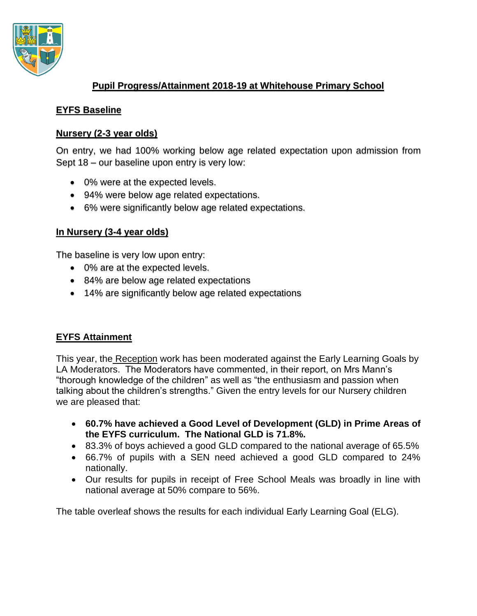

# **Pupil Progress/Attainment 2018-19 at Whitehouse Primary School**

### **EYFS Baseline**

### **Nursery (2-3 year olds)**

On entry, we had 100% working below age related expectation upon admission from Sept 18 – our baseline upon entry is very low:

- 0% were at the expected levels.
- 94% were below age related expectations.
- 6% were significantly below age related expectations.

### **In Nursery (3-4 year olds)**

The baseline is very low upon entry:

- 0% are at the expected levels.
- 84% are below age related expectations
- 14% are significantly below age related expectations

## **EYFS Attainment**

This year, the Reception work has been moderated against the Early Learning Goals by LA Moderators. The Moderators have commented, in their report, on Mrs Mann's "thorough knowledge of the children" as well as "the enthusiasm and passion when talking about the children's strengths." Given the entry levels for our Nursery children we are pleased that:

- **60.7% have achieved a Good Level of Development (GLD) in Prime Areas of the EYFS curriculum. The National GLD is 71.8%.**
- 83.3% of boys achieved a good GLD compared to the national average of 65.5%
- 66.7% of pupils with a SEN need achieved a good GLD compared to 24% nationally.
- Our results for pupils in receipt of Free School Meals was broadly in line with national average at 50% compare to 56%.

The table overleaf shows the results for each individual Early Learning Goal (ELG).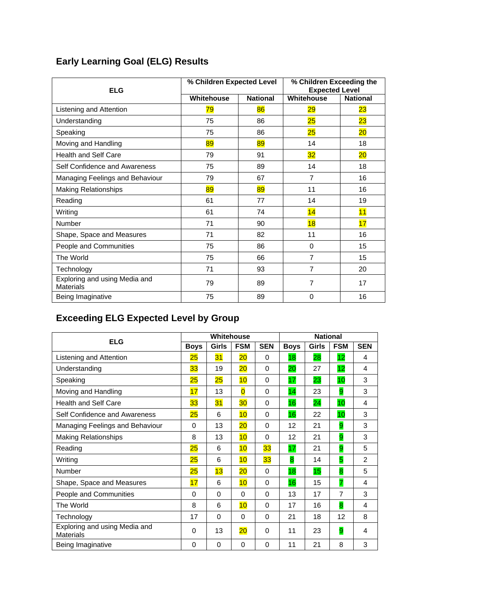# **Early Learning Goal (ELG) Results**

| <b>ELG</b>                                        | % Children Expected Level |                 | % Children Exceeding the<br><b>Expected Level</b> |                 |  |
|---------------------------------------------------|---------------------------|-----------------|---------------------------------------------------|-----------------|--|
|                                                   | Whitehouse                | <b>National</b> | Whitehouse                                        | <b>National</b> |  |
| Listening and Attention                           | 79                        | 86              | 29                                                | $\overline{23}$ |  |
| Understanding                                     | 75                        | 86              | 25                                                | $\overline{23}$ |  |
| Speaking                                          | 75                        | 86              | 25                                                | 20              |  |
| Moving and Handling                               | 89                        | 89              | 14                                                | 18              |  |
| <b>Health and Self Care</b>                       | 79                        | 91              | 32                                                | 20              |  |
| Self Confidence and Awareness                     | 75                        | 89              | 14                                                | 18              |  |
| Managing Feelings and Behaviour                   | 79                        | 67              | 7                                                 | 16              |  |
| <b>Making Relationships</b>                       | 89                        | 89              | 11                                                | 16              |  |
| Reading                                           | 61                        | 77              | 14                                                | 19              |  |
| Writing                                           | 61                        | 74              | 14                                                | 11              |  |
| Number                                            | 71                        | 90              | 18                                                | 17              |  |
| Shape, Space and Measures                         | 71                        | 82              | 11                                                | 16              |  |
| People and Communities                            | 75                        | 86              | $\Omega$                                          | 15              |  |
| The World                                         | 75                        | 66              | 7                                                 | 15              |  |
| Technology                                        | 71                        | 93              | $\overline{7}$                                    | 20              |  |
| Exploring and using Media and<br><b>Materials</b> | 79                        | 89              | 7                                                 | 17              |  |
| Being Imaginative                                 | 75                        | 89              | 0                                                 | 16              |  |

# **Exceeding ELG Expected Level by Group**

| <b>ELG</b>                                        |             | Whitehouse |                 |            | <b>National</b> |              |            |                |  |
|---------------------------------------------------|-------------|------------|-----------------|------------|-----------------|--------------|------------|----------------|--|
|                                                   | <b>Boys</b> | Girls      | <b>FSM</b>      | <b>SEN</b> | <b>Boys</b>     | <b>Girls</b> | <b>FSM</b> | <b>SEN</b>     |  |
| Listening and Attention                           | 25          | 31         | $20\,$          | $\Omega$   | 18              | 28           | 12         | 4              |  |
| Understanding                                     | 33          | 19         | 20              | $\Omega$   | 20              | 27           | 12         | 4              |  |
| Speaking                                          | 25          | 25         | 10              | $\Omega$   | 17              | 23           | 10         | 3              |  |
| Moving and Handling                               | 17          | 13         | $\overline{0}$  | $\Omega$   | 14              | 23           | 9          | 3              |  |
| <b>Health and Self Care</b>                       | 33          | 31         | 30 <sub>o</sub> | $\Omega$   | 16              | 24           | 10         | 4              |  |
| Self Confidence and Awareness                     | 25          | 6          | 10              | $\Omega$   | 16              | 22           | 10         | 3              |  |
| Managing Feelings and Behaviour                   | $\Omega$    | 13         | 20              | $\Omega$   | 12              | 21           | 9          | 3              |  |
| <b>Making Relationships</b>                       | 8           | 13         | 10              | $\Omega$   | 12              | 21           | 9          | 3              |  |
| Reading                                           | 25          | 6          | 10              | 33         | 17              | 21           | 9          | 5              |  |
| Writing                                           | 25          | 6          | 10              | 33         | 8               | 14           | 5          | $\overline{2}$ |  |
| Number                                            | 25          | 13         | 20              | $\Omega$   | 18              | 15           | 8          | 5              |  |
| Shape, Space and Measures                         | 17          | 6          | 10              | $\Omega$   | 16              | 15           | 7          | 4              |  |
| People and Communities                            | 0           | $\Omega$   | $\Omega$        | $\Omega$   | 13              | 17           | 7          | 3              |  |
| The World                                         | 8           | 6          | 10              | $\Omega$   | 17              | 16           | 8          | 4              |  |
| Technology                                        | 17          | 0          | 0               | $\Omega$   | 21              | 18           | 12         | 8              |  |
| Exploring and using Media and<br><b>Materials</b> | 0           | 13         | $\overline{20}$ | $\Omega$   | 11              | 23           | 9          | 4              |  |
| Being Imaginative                                 | $\Omega$    | $\Omega$   | $\Omega$        | $\Omega$   | 11              | 21           | 8          | 3              |  |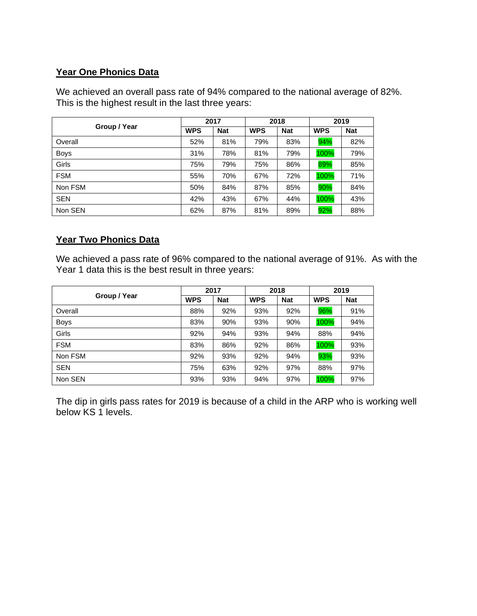# **Year One Phonics Data**

We achieved an overall pass rate of 94% compared to the national average of 82%. This is the highest result in the last three years:

|              |            | 2017       |            | 2018       |            | 2019       |
|--------------|------------|------------|------------|------------|------------|------------|
| Group / Year | <b>WPS</b> | <b>Nat</b> | <b>WPS</b> | <b>Nat</b> | <b>WPS</b> | <b>Nat</b> |
| Overall      | 52%        | 81%        | 79%        | 83%        | 94%        | 82%        |
| <b>Boys</b>  | 31%        | 78%        | 81%        | 79%        | 100%       | 79%        |
| Girls        | 75%        | 79%        | 75%        | 86%        | 89%        | 85%        |
| <b>FSM</b>   | 55%        | 70%        | 67%        | 72%        | 100%       | 71%        |
| Non FSM      | 50%        | 84%        | 87%        | 85%        | 90%        | 84%        |
| <b>SEN</b>   | 42%        | 43%        | 67%        | 44%        | 100%       | 43%        |
| Non SEN      | 62%        | 87%        | 81%        | 89%        | 92%        | 88%        |

# **Year Two Phonics Data**

We achieved a pass rate of 96% compared to the national average of 91%. As with the Year 1 data this is the best result in three years:

|              |            | 2017       | 2018       |            | 2019       |            |
|--------------|------------|------------|------------|------------|------------|------------|
| Group / Year | <b>WPS</b> | <b>Nat</b> | <b>WPS</b> | <b>Nat</b> | <b>WPS</b> | <b>Nat</b> |
| Overall      | 88%        | 92%        | 93%        | 92%        | 96%        | 91%        |
| <b>Boys</b>  | 83%        | 90%        | 93%        | 90%        | 100%       | 94%        |
| <b>Girls</b> | 92%        | 94%        | 93%        | 94%        | 88%        | 94%        |
| <b>FSM</b>   | 83%        | 86%        | 92%        | 86%        | 100%       | 93%        |
| Non FSM      | 92%        | 93%        | 92%        | 94%        | 93%        | 93%        |
| <b>SEN</b>   | 75%        | 63%        | 92%        | 97%        | 88%        | 97%        |
| Non SEN      | 93%        | 93%        | 94%        | 97%        | 100%       | 97%        |

The dip in girls pass rates for 2019 is because of a child in the ARP who is working well below KS 1 levels.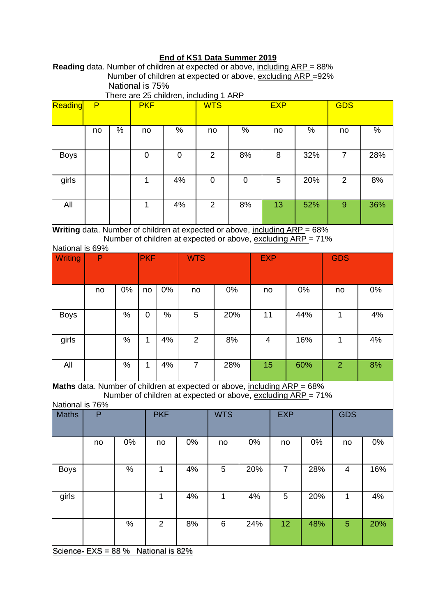# **End of KS1 Data Summer 2019**

**Reading** data. Number of children at expected or above, including ARP = 88% Number of children at expected or above, excluding ARP =92% National is 75%

|                                                                            |      |      |                                  |                | There are 25 children, including 1 ARP                       |                |           |                |                |      |                |      |
|----------------------------------------------------------------------------|------|------|----------------------------------|----------------|--------------------------------------------------------------|----------------|-----------|----------------|----------------|------|----------------|------|
| Reading                                                                    | P    |      | <b>PKF</b>                       |                |                                                              | <b>WTS</b>     |           |                | <b>EXP</b>     |      | <b>GDS</b>     |      |
|                                                                            |      |      |                                  |                |                                                              |                |           |                |                |      |                |      |
|                                                                            |      | $\%$ |                                  |                | $\%$                                                         | no             | $\%$      |                | no             | $\%$ |                | $\%$ |
|                                                                            | no   |      | no                               |                |                                                              |                |           |                |                |      | no             |      |
|                                                                            |      |      |                                  |                |                                                              |                |           |                |                |      |                |      |
| <b>Boys</b>                                                                |      |      | $\mathbf 0$                      |                | $\mathbf 0$                                                  | $\overline{2}$ | 8%        |                | 8              | 32%  | $\overline{7}$ | 28%  |
|                                                                            |      |      |                                  |                |                                                              |                |           |                |                |      |                |      |
| girls                                                                      |      |      | $\mathbf{1}$                     |                | 4%                                                           | $\mathbf 0$    | $\pmb{0}$ |                | 5              | 20%  | $\overline{2}$ | 8%   |
|                                                                            |      |      |                                  |                |                                                              |                |           |                |                |      |                |      |
|                                                                            |      |      |                                  |                |                                                              |                |           |                |                |      |                |      |
| All                                                                        |      |      | $\mathbf{1}$                     |                | 4%                                                           | $\overline{2}$ | 8%        |                | 13             | 52%  | $\overline{9}$ | 36%  |
|                                                                            |      |      |                                  |                |                                                              |                |           |                |                |      |                |      |
| Writing data. Number of children at expected or above, including ARP = 68% |      |      |                                  |                |                                                              |                |           |                |                |      |                |      |
|                                                                            |      |      |                                  |                | Number of children at expected or above, excluding ARP = 71% |                |           |                |                |      |                |      |
| National is 69%                                                            |      |      |                                  |                |                                                              |                |           |                |                |      |                |      |
| Writing                                                                    | P    |      | <b>PKF</b>                       |                | <b>WTS</b>                                                   |                |           | <b>EXP</b>     |                |      | <b>GDS</b>     |      |
|                                                                            |      |      |                                  |                |                                                              |                |           |                |                |      |                |      |
|                                                                            |      |      |                                  |                |                                                              |                |           |                |                |      |                |      |
|                                                                            | no   | 0%   | no                               | 0%             | no                                                           |                | 0%        | no             |                | 0%   | no             | 0%   |
|                                                                            |      |      |                                  |                |                                                              |                |           |                |                |      |                |      |
|                                                                            |      |      |                                  |                |                                                              |                |           |                |                |      |                |      |
| <b>Boys</b>                                                                |      | %    | $\mathbf 0$                      | $\%$           | 5                                                            |                | 20%       | 11             |                | 44%  | $\mathbf{1}$   | 4%   |
|                                                                            |      |      |                                  |                |                                                              |                |           |                |                |      |                |      |
| girls                                                                      |      | %    | $\mathbf{1}$                     | 4%             | $\overline{2}$                                               |                | 8%        | $\overline{4}$ |                | 16%  | $\mathbf{1}$   | 4%   |
|                                                                            |      |      |                                  |                |                                                              |                |           |                |                |      |                |      |
|                                                                            |      |      |                                  |                |                                                              |                |           |                |                |      |                |      |
| All                                                                        |      | $\%$ | $\mathbf{1}$                     | 4%             | $\overline{7}$                                               |                | 28%       | 15             |                | 60%  | $\overline{2}$ | 8%   |
|                                                                            |      |      |                                  |                |                                                              |                |           |                |                |      |                |      |
| Maths data. Number of children at expected or above, including ARP = 68%   |      |      |                                  |                |                                                              |                |           |                |                |      |                |      |
|                                                                            |      |      |                                  |                | Number of children at expected or above, excluding ARP = 71% |                |           |                |                |      |                |      |
| National is 76%                                                            |      |      |                                  |                |                                                              |                |           |                |                |      |                |      |
| <b>Maths</b>                                                               | P    |      |                                  | <b>PKF</b>     |                                                              | <b>WTS</b>     |           |                | <b>EXP</b>     |      | <b>GDS</b>     |      |
|                                                                            |      |      |                                  |                |                                                              |                |           |                |                |      |                |      |
|                                                                            | no   | 0%   |                                  | no             | 0%                                                           | no             |           | 0%             | no             | 0%   | no             | 0%   |
|                                                                            |      |      |                                  |                |                                                              |                |           |                |                |      |                |      |
|                                                                            |      |      |                                  |                |                                                              |                |           |                |                |      |                |      |
| <b>Boys</b>                                                                |      | %    |                                  | $\mathbf{1}$   | 4%                                                           | 5              |           | 20%            | $\overline{7}$ | 28%  | $\overline{4}$ | 16%  |
|                                                                            |      |      |                                  |                |                                                              |                |           |                |                |      |                |      |
|                                                                            |      |      |                                  |                |                                                              |                |           |                |                |      |                |      |
| girls                                                                      |      |      |                                  | $\mathbf{1}$   | 4%                                                           | $\mathbf 1$    |           | 4%             | 5              | 20%  | $\mathbf 1$    | 4%   |
|                                                                            |      |      |                                  |                |                                                              |                |           |                |                |      |                |      |
|                                                                            |      | $\%$ |                                  | $\overline{2}$ | 8%                                                           | 6              |           | 24%            | 12             | 48%  | 5              | 20%  |
|                                                                            |      |      |                                  |                |                                                              |                |           |                |                |      |                |      |
|                                                                            |      |      |                                  |                |                                                              |                |           |                |                |      |                |      |
| O <sub>min</sub>                                                           | rvo. | 00y  | $N_{\text{initial}}$ $\sim$ 000/ |                |                                                              |                |           |                |                |      |                |      |

Science-  $EXS = 88 \%$  National is  $82\%$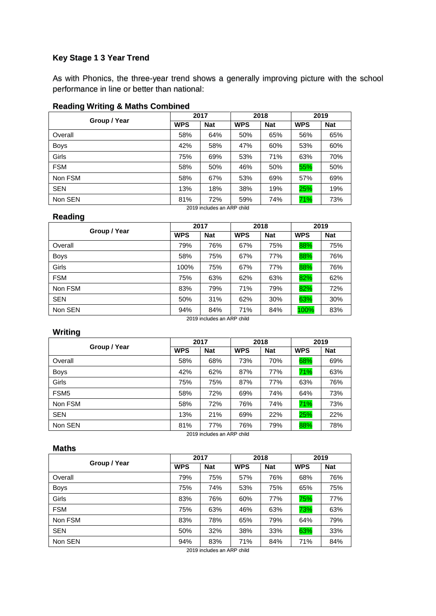### **Key Stage 1 3 Year Trend**

As with Phonics, the three-year trend shows a generally improving picture with the school performance in line or better than national:

#### **Reading Writing & Maths Combined**

|            |            |            |            | 2019       |            |
|------------|------------|------------|------------|------------|------------|
|            |            |            |            |            |            |
| <b>WPS</b> | <b>Nat</b> | <b>WPS</b> | <b>Nat</b> | <b>WPS</b> | <b>Nat</b> |
| 58%        | 64%        | 50%        | 65%        | 56%        | 65%        |
| 42%        | 58%        | 47%        | 60%        | 53%        | 60%        |
| 75%        | 69%        | 53%        | 71%        | 63%        | 70%        |
| 58%        | 50%        | 46%        | 50%        | 55%        | 50%        |
| 58%        | 67%        | 53%        | 69%        | 57%        | 69%        |
| 13%        | 18%        | 38%        | 19%        | 25%        | 19%        |
| 81%        | 72%        | 59%        | 74%        | 71%        | 73%        |
|            |            | 2017       |            | 2018       |            |

#### 2019 includes an ARP child

#### **Reading**

| Group / Year |            | 2017       | 2018       |            | 2019       |            |
|--------------|------------|------------|------------|------------|------------|------------|
|              | <b>WPS</b> | <b>Nat</b> | <b>WPS</b> | <b>Nat</b> | <b>WPS</b> | <b>Nat</b> |
| Overall      | 79%        | 76%        | 67%        | 75%        | 88%        | 75%        |
| <b>Boys</b>  | 58%        | 75%        | 67%        | 77%        | 88%        | 76%        |
| Girls        | 100%       | 75%        | 67%        | 77%        | 88%        | 76%        |
| <b>FSM</b>   | 75%        | 63%        | 62%        | 63%        | 82%        | 62%        |
| Non FSM      | 83%        | 79%        | 71%        | 79%        | 82%        | 72%        |
| <b>SEN</b>   | 50%        | 31%        | 62%        | 30%        | 63%        | 30%        |
| Non SEN      | 94%        | 84%        | 71%        | 84%        | 100%       | 83%        |

2019 includes an ARP child

### **Writing**

|                  |            | 2017                       |            | 2018       | 2019       |            |
|------------------|------------|----------------------------|------------|------------|------------|------------|
| Group / Year     | <b>WPS</b> | <b>Nat</b>                 | <b>WPS</b> | <b>Nat</b> | <b>WPS</b> | <b>Nat</b> |
| Overall          | 58%        | 68%                        | 73%        | 70%        | 68%        | 69%        |
| <b>Boys</b>      | 42%        | 62%                        | 87%        | 77%        | 71%        | 63%        |
| <b>Girls</b>     | 75%        | 75%                        | 87%        | 77%        | 63%        | 76%        |
| FSM <sub>5</sub> | 58%        | 72%                        | 69%        | 74%        | 64%        | 73%        |
| Non FSM          | 58%        | 72%                        | 76%        | 74%        | 71%        | 73%        |
| <b>SEN</b>       | 13%        | 21%                        | 69%        | 22%        | 25%        | 22%        |
| Non SEN          | 81%        | 77%                        | 76%        | 79%        | 88%        | 78%        |
|                  |            | 2019 includes an ARP child |            |            |            |            |

#### **Maths**

|              |            | 2017       |            | 2018       | 2019       |            |
|--------------|------------|------------|------------|------------|------------|------------|
| Group / Year | <b>WPS</b> | <b>Nat</b> | <b>WPS</b> | <b>Nat</b> | <b>WPS</b> | <b>Nat</b> |
| Overall      | 79%        | 75%        | 57%        | 76%        | 68%        | 76%        |
| <b>Boys</b>  | 75%        | 74%        | 53%        | 75%        | 65%        | 75%        |
| Girls        | 83%        | 76%        | 60%        | 77%        | 75%        | 77%        |
| <b>FSM</b>   | 75%        | 63%        | 46%        | 63%        | 73%        | 63%        |
| Non FSM      | 83%        | 78%        | 65%        | 79%        | 64%        | 79%        |
| <b>SEN</b>   | 50%        | 32%        | 38%        | 33%        | 63%        | 33%        |
| Non SEN      | 94%        | 83%        | 71%        | 84%        | 71%        | 84%        |

2019 includes an ARP child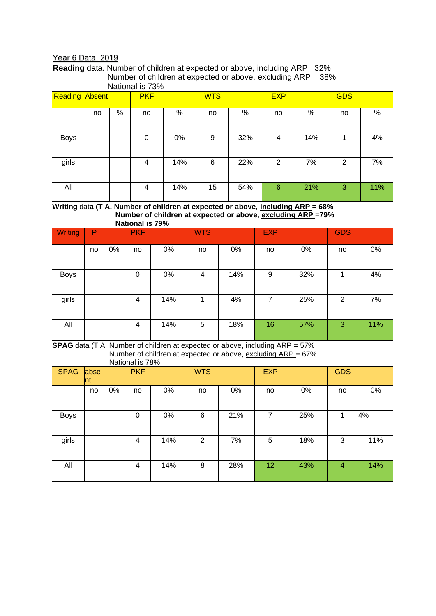# Year 6 Data. 2019

**Reading** data. Number of children at expected or above, including ARP =32% Number of children at expected or above, excluding ARP = 38% National is 73%

| <b>Reading Absent</b>                                                                                                                                                    |             |      | $\frac{1}{2}$<br><b>PKF</b> |                                                                                                                                                     | <b>WTS</b>       |      |  | <b>EXP</b>              |      | <b>GDS</b>               |      |  |
|--------------------------------------------------------------------------------------------------------------------------------------------------------------------------|-------------|------|-----------------------------|-----------------------------------------------------------------------------------------------------------------------------------------------------|------------------|------|--|-------------------------|------|--------------------------|------|--|
|                                                                                                                                                                          | no          | $\%$ | no                          | $\%$                                                                                                                                                | no               | $\%$ |  | no                      | $\%$ | no                       | $\%$ |  |
| <b>Boys</b>                                                                                                                                                              |             |      | $\mathbf 0$                 | $0\%$                                                                                                                                               | $\boldsymbol{9}$ | 32%  |  | $\overline{\mathbf{4}}$ | 14%  | $\mathbf{1}$             | 4%   |  |
| girls                                                                                                                                                                    |             |      | $\overline{4}$              | 14%                                                                                                                                                 | $\,6$            | 22%  |  | $\overline{2}$          | 7%   | $\overline{2}$           | 7%   |  |
| All                                                                                                                                                                      |             |      | $\overline{4}$              | 14%                                                                                                                                                 | 15               | 54%  |  | $6\phantom{1}6$         | 21%  | 3                        | 11%  |  |
| Writing data (T A. Number of children at expected or above, including ARP = 68%<br>Number of children at expected or above, excluding ARP =79%<br><b>National is 79%</b> |             |      |                             |                                                                                                                                                     |                  |      |  |                         |      |                          |      |  |
| <b>Writing</b>                                                                                                                                                           | P           |      | <b>PKF</b>                  |                                                                                                                                                     | <b>WTS</b>       |      |  | <b>EXP</b>              |      | <b>GDS</b>               |      |  |
|                                                                                                                                                                          | no          | 0%   | no                          | 0%                                                                                                                                                  | no               | 0%   |  | no                      | 0%   | no                       | 0%   |  |
| <b>Boys</b>                                                                                                                                                              |             |      | $\mathbf 0$                 | 0%                                                                                                                                                  | $\overline{4}$   | 14%  |  | 9                       | 32%  | $\mathbf{1}$             | 4%   |  |
| girls                                                                                                                                                                    |             |      | $\overline{4}$              | 14%                                                                                                                                                 | $\mathbf{1}$     | 4%   |  | $\overline{7}$          | 25%  | $\overline{2}$           | 7%   |  |
| All                                                                                                                                                                      |             |      | $\overline{\mathbf{4}}$     | 14%                                                                                                                                                 | 5                | 18%  |  | 16                      | 57%  | 3                        | 11%  |  |
|                                                                                                                                                                          |             |      | National is 78%             | <b>SPAG</b> data (T A. Number of children at expected or above, including ARP = 57%<br>Number of children at expected or above, excluding ARP = 67% |                  |      |  |                         |      |                          |      |  |
| <b>SPAG</b>                                                                                                                                                              | abse<br>Int |      | <b>PKF</b>                  |                                                                                                                                                     | <b>WTS</b>       |      |  | <b>EXP</b>              |      | <b>GDS</b>               |      |  |
|                                                                                                                                                                          | no          | 0%   | no                          | 0%                                                                                                                                                  | no               | 0%   |  | no                      | 0%   | no                       | 0%   |  |
| Boys                                                                                                                                                                     |             |      | 0                           | $0\%$                                                                                                                                               | 6                | 21%  |  | $\overline{7}$          | 25%  | $\mathbf{1}$             | 4%   |  |
| girls                                                                                                                                                                    |             |      | $\overline{4}$              | 14%                                                                                                                                                 | $\overline{2}$   | 7%   |  | 5                       | 18%  | 3                        | 11%  |  |
| All                                                                                                                                                                      |             |      | $\overline{4}$              | 14%                                                                                                                                                 | $\bf 8$          | 28%  |  | 12                      | 43%  | $\overline{\mathcal{A}}$ | 14%  |  |